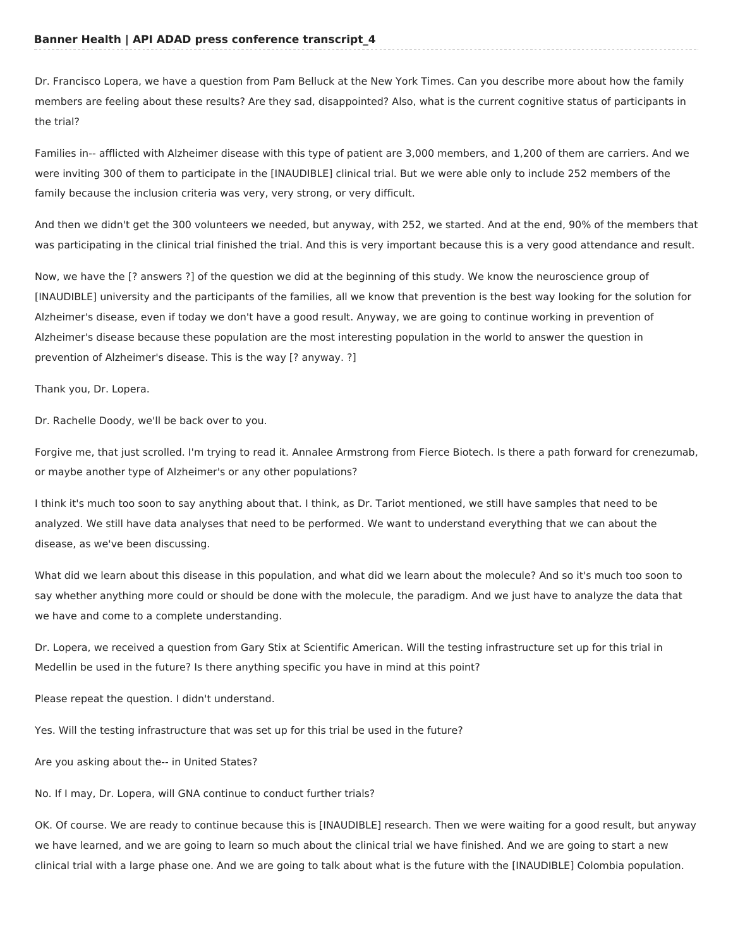Dr. Francisco Lopera, we have a question from Pam Belluck at the New York Times. Can you describe more about how the family members are feeling about these results? Are they sad, disappointed? Also, what is the current cognitive status of participants in the trial?

Families in-- afflicted with Alzheimer disease with this type of patient are 3,000 members, and 1,200 of them are carriers. And we were inviting 300 of them to participate in the [INAUDIBLE] clinical trial. But we were able only to include 252 members of the family because the inclusion criteria was very, very strong, or very difficult.

And then we didn't get the 300 volunteers we needed, but anyway, with 252, we started. And at the end, 90% of the members that was participating in the clinical trial finished the trial. And this is very important because this is a very good attendance and result.

Now, we have the [? answers ?] of the question we did at the beginning of this study. We know the neuroscience group of [INAUDIBLE] university and the participants of the families, all we know that prevention is the best way looking for the solution for Alzheimer's disease, even if today we don't have a good result. Anyway, we are going to continue working in prevention of Alzheimer's disease because these population are the most interesting population in the world to answer the question in prevention of Alzheimer's disease. This is the way [? anyway. ?]

Thank you, Dr. Lopera.

Dr. Rachelle Doody, we'll be back over to you.

Forgive me, that just scrolled. I'm trying to read it. Annalee Armstrong from Fierce Biotech. Is there a path forward for crenezumab, or maybe another type of Alzheimer's or any other populations?

I think it's much too soon to say anything about that. I think, as Dr. Tariot mentioned, we still have samples that need to be analyzed. We still have data analyses that need to be performed. We want to understand everything that we can about the disease, as we've been discussing.

What did we learn about this disease in this population, and what did we learn about the molecule? And so it's much too soon to say whether anything more could or should be done with the molecule, the paradigm. And we just have to analyze the data that we have and come to a complete understanding.

Dr. Lopera, we received a question from Gary Stix at Scientific American. Will the testing infrastructure set up for this trial in Medellin be used in the future? Is there anything specific you have in mind at this point?

Please repeat the question. I didn't understand.

Yes. Will the testing infrastructure that was set up for this trial be used in the future?

Are you asking about the-- in United States?

No. If I may, Dr. Lopera, will GNA continue to conduct further trials?

OK. Of course. We are ready to continue because this is [INAUDIBLE] research. Then we were waiting for a good result, but anyway we have learned, and we are going to learn so much about the clinical trial we have finished. And we are going to start a new clinical trial with a large phase one. And we are going to talk about what is the future with the [INAUDIBLE] Colombia population.